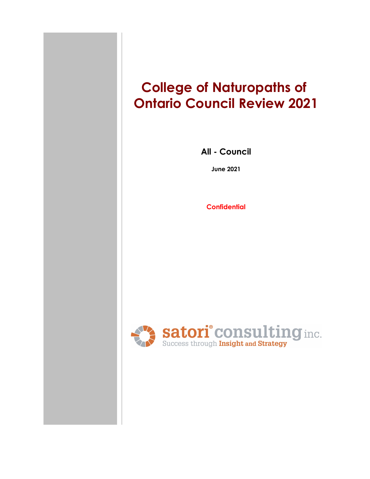# **College of Naturopaths of Ontario Council Review 2021**

**All - Council**

**June 2021**

**Confidential**

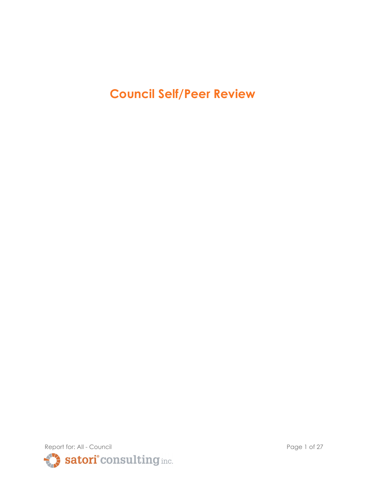**Council Self/Peer Review**

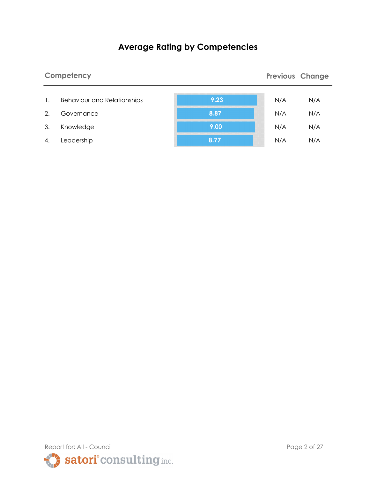# **Average Rating by Competencies**

|    | Competency                         |      |     | <b>Previous Change</b> |
|----|------------------------------------|------|-----|------------------------|
| 1. | <b>Behaviour and Relationships</b> | 9.23 | N/A | N/A                    |
| 2. | Governance                         | 8.87 | N/A | N/A                    |
| 3. | Knowledge                          | 9.00 | N/A | N/A                    |
| 4. | Leadership                         | 8.77 | N/A | N/A                    |

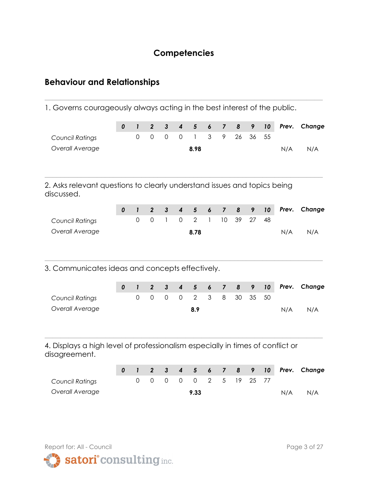## **Competencies**

**\_\_\_\_\_\_\_\_\_\_\_\_\_\_\_\_\_\_\_\_\_\_\_\_\_\_\_\_\_\_\_\_\_\_\_\_\_\_\_\_\_\_\_\_\_\_\_\_\_\_\_\_\_\_\_\_\_\_\_\_\_\_\_\_\_\_\_\_\_**

# **Behaviour and Relationships**

1. Governs courageously always acting in the best interest of the public.

|                                                                                                 | 0         | $\mathbf{I}$        | $\overline{2}$      | $\mathbf{3}$        | $\boldsymbol{4}$        | $5\phantom{1}$ | 6                | $\overline{7}$          | 8         | 9  | 10 | Prev. | Change |
|-------------------------------------------------------------------------------------------------|-----------|---------------------|---------------------|---------------------|-------------------------|----------------|------------------|-------------------------|-----------|----|----|-------|--------|
| <b>Council Ratings</b>                                                                          |           | $\mathbf 0$         | $\mathsf{O}\xspace$ | $\mathsf{O}\xspace$ | $\mathsf{O}\xspace$     | 1              | 3                | 9                       | 26        | 36 | 55 |       |        |
| Overall Average                                                                                 |           |                     |                     |                     |                         | 8.98           |                  |                         |           |    |    | N/A   | N/A    |
| 2. Asks relevant questions to clearly understand issues and topics being<br>discussed.          |           |                     |                     |                     |                         |                |                  |                         |           |    |    |       |        |
|                                                                                                 | $\pmb{o}$ | $\mathbf{I}$        | $\overline{2}$      | $\mathbf{3}$        | $\overline{\mathbf{4}}$ | $5\phantom{1}$ | $\boldsymbol{6}$ | $\overline{7}$          | 8         | 9  | 10 | Prev. | Change |
| <b>Council Ratings</b>                                                                          |           | $\mathsf{O}\xspace$ | $\mathsf O$         | $\mathbf{1}$        | $\mathsf{O}\xspace$     | $\overline{2}$ | $\mathbf{I}$     | 10                      | 39        | 27 | 48 |       |        |
| Overall Average                                                                                 |           |                     |                     |                     |                         | 8.78           |                  |                         |           |    |    | N/A   | N/A    |
| 3. Communicates ideas and concepts effectively.                                                 | 0         | $\mathbf{I}$        | $\boldsymbol{2}$    | $\mathbf{3}$        | $\overline{\mathbf{4}}$ | $5\phantom{1}$ | 6                | $\overline{7}$          | 8         | 9  | 10 | Prev. | Change |
| <b>Council Ratings</b>                                                                          |           | $\overline{0}$      | $\overline{0}$      | $\mathbf 0$         | $\overline{0}$          | $\overline{2}$ | 3                | 8                       | 30        | 35 | 50 |       |        |
| Overall Average                                                                                 |           |                     |                     |                     |                         | 8.9            |                  |                         |           |    |    | N/A   | N/A    |
| 4. Displays a high level of professionalism especially in times of conflict or<br>disagreement. |           |                     |                     |                     |                         |                |                  |                         |           |    |    |       |        |
|                                                                                                 | 0         | $\mathbf{I}$        | $\boldsymbol{2}$    | $\mathbf{3}$        | $\boldsymbol{4}$        | $5\phantom{1}$ | 6                | $\overline{\mathbf{z}}$ | $\pmb{8}$ | 9  | 10 | Prev. | Change |
| <b>Council Ratings</b>                                                                          |           | $\overline{0}$      | $\overline{O}$      | $\mathsf{O}$        | $\mathbf 0$             | $\overline{0}$ | $\overline{2}$   | 5                       | 19        | 25 | 77 |       |        |
| Overall Average                                                                                 |           |                     |                     |                     |                         | 9.33           |                  |                         |           |    |    | N/A   | N/A    |



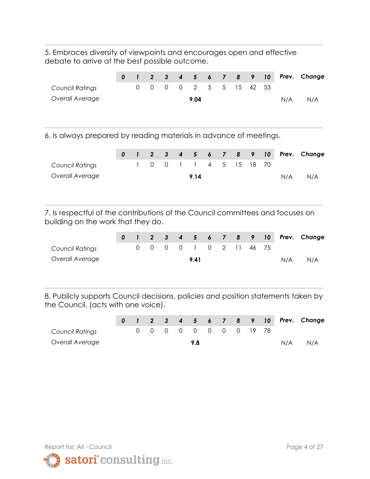5. Embraces diversity of viewpoints and encourages open and effective debate to arrive at the best possible outcome.

**\_\_\_\_\_\_\_\_\_\_\_\_\_\_\_\_\_\_\_\_\_\_\_\_\_\_\_\_\_\_\_\_\_\_\_\_\_\_\_\_\_\_\_\_\_\_\_\_\_\_\_\_\_\_\_\_\_\_\_\_\_\_\_\_\_\_\_\_\_**

|                                                                                                                      | 0 | $\mathbf{1}$   | $\overline{2}$      | $\mathbf{3}$        | 4                | 5              | 6                        | 7                       | 8  | 9  | 10 | Prev. | Change |
|----------------------------------------------------------------------------------------------------------------------|---|----------------|---------------------|---------------------|------------------|----------------|--------------------------|-------------------------|----|----|----|-------|--------|
| <b>Council Ratings</b>                                                                                               |   | $\mathbf 0$    | $\mathsf{O}\xspace$ | $\mathsf{O}\xspace$ | $\mathbf 0$      | $\overline{2}$ | 5                        | 5                       | 15 | 42 | 53 |       |        |
| Overall Average                                                                                                      |   |                |                     |                     |                  | 9.04           |                          |                         |    |    |    | N/A   | N/A    |
| 6. Is always prepared by reading materials in advance of meetings.                                                   |   |                |                     |                     |                  |                |                          |                         |    |    |    |       |        |
|                                                                                                                      | 0 | $\mathbf{I}$   | $\overline{2}$      | $\mathbf{3}$        | 4                | 5              | 6                        | $\overline{\mathbf{z}}$ | 8  | 9  | 10 | Prev. | Change |
| <b>Council Ratings</b>                                                                                               |   | 1              | $\mathsf{O}\xspace$ | $\mathsf{O}\xspace$ | 1                | 1              | $\overline{\mathcal{A}}$ | 5                       | 15 | 18 | 70 |       |        |
| Overall Average                                                                                                      |   |                |                     |                     |                  | 9.14           |                          |                         |    |    |    | N/A   | N/A    |
| 7. Is respectful of the contributions of the Council committees and focuses on<br>building on the work that they do. |   |                |                     |                     |                  |                |                          |                         |    |    |    |       |        |
|                                                                                                                      | 0 | $\mathbf{I}$   | $\boldsymbol{2}$    | $\mathbf{3}$        | $\boldsymbol{4}$ | $5\phantom{1}$ | 6                        | $\overline{7}$          | 8  | 9  | 10 | Prev. | Change |
| <b>Council Ratings</b>                                                                                               |   | $\overline{0}$ | $\mathsf{O}\xspace$ | $\mathsf{O}\xspace$ | $\mathbf 0$      | 1              | $\mathbf 0$              | $\overline{2}$          | 11 | 46 | 75 |       |        |
| Overall Average                                                                                                      |   |                |                     |                     |                  | 9.41           |                          |                         |    |    |    | N/A   | N/A    |
|                                                                                                                      |   |                |                     |                     |                  |                |                          |                         |    |    |    |       |        |

8. Publicly supports Council decisions, policies and position statements taken by the Council. (acts with one voice).

|                        |  |  |                       |  |  |     | 0 1 2 3 4 5 6 7 8 9 10 Prev. Change |
|------------------------|--|--|-----------------------|--|--|-----|-------------------------------------|
| <b>Council Ratings</b> |  |  | 0 0 0 0 0 0 0 0 19 78 |  |  |     |                                     |
| Overall Average        |  |  | 9.8                   |  |  | N/A | N/A                                 |

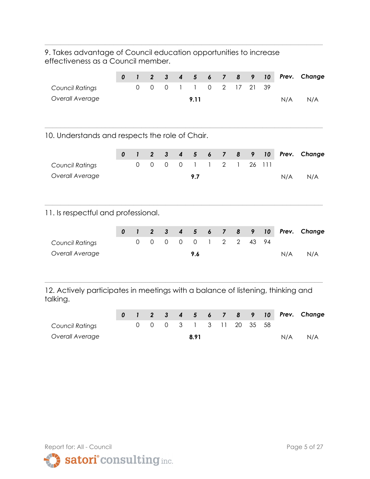9. Takes advantage of Council education opportunities to increase effectiveness as a Council member.

**\_\_\_\_\_\_\_\_\_\_\_\_\_\_\_\_\_\_\_\_\_\_\_\_\_\_\_\_\_\_\_\_\_\_\_\_\_\_\_\_\_\_\_\_\_\_\_\_\_\_\_\_\_\_\_\_\_\_\_\_\_\_\_\_\_\_\_\_\_**

|                                                                                             | $\boldsymbol{0}$ | $\mathbf{I}$                   | $\overline{2}$                   | $\overline{3}$                      | $\overline{\mathbf{4}}$ | 5                 | 6                | $\overline{7}$                | 8              | 9       | 10       | Prev. | Change |
|---------------------------------------------------------------------------------------------|------------------|--------------------------------|----------------------------------|-------------------------------------|-------------------------|-------------------|------------------|-------------------------------|----------------|---------|----------|-------|--------|
| Council Ratings                                                                             |                  | $\mathsf{O}\xspace$            | $\mathsf{O}\xspace$              | $\mathsf{O}\xspace$                 | $\mathbf{1}$            | $\mathbf{I}$      | $\mathbf 0$      | $\overline{2}$                | 17             | 21      | 39       |       |        |
| Overall Average                                                                             |                  |                                |                                  |                                     |                         | 9.11              |                  |                               |                |         |          | N/A   | N/A    |
| 10. Understands and respects the role of Chair.                                             |                  |                                |                                  |                                     |                         |                   |                  |                               |                |         |          |       |        |
|                                                                                             | $\pmb{o}$        | $\mathbf{I}$                   | $\overline{2}$                   | $\mathbf{3}$                        | $\boldsymbol{4}$        | $5\phantom{1}$    | $\boldsymbol{6}$ | $\overline{7}$                | 8              | 9       | 10       | Prev. | Change |
| Council Ratings                                                                             |                  | $\mathsf{O}\xspace$            | $\mathsf{O}\xspace$              | $\mathsf{O}\xspace$                 | $\mathbf 0$             | $\mathbf{1}$      | $\mathbf{I}$     | $\overline{2}$                | 1              | 26      | 111      |       |        |
| Overall Average                                                                             |                  |                                |                                  |                                     |                         | 9.7               |                  |                               |                |         |          | N/A   | N/A    |
| 11. Is respectful and professional.                                                         |                  |                                |                                  |                                     |                         |                   |                  |                               |                |         |          |       |        |
|                                                                                             | 0                | $\mathbf{I}$                   | $\overline{2}$                   | $\mathbf{3}$                        | $\overline{\mathbf{4}}$ | 5                 | $\boldsymbol{6}$ | $\overline{7}$                | 8              | 9       | 10       | Prev. | Change |
| Council Ratings                                                                             |                  | $\mathsf{O}\xspace$            | $\mathsf{O}$                     | $\mathsf{O}\xspace$                 | $\mathbf 0$             | $\overline{0}$    | $\mathbf{I}$     | $\overline{2}$                | $\overline{2}$ | 43      | 94       |       |        |
| Overall Average                                                                             |                  |                                |                                  |                                     |                         | 9.6               |                  |                               |                |         |          | N/A   | N/A    |
| 12. Actively participates in meetings with a balance of listening, thinking and<br>talking. |                  |                                |                                  |                                     |                         |                   |                  |                               |                |         |          |       |        |
|                                                                                             |                  |                                |                                  |                                     |                         |                   |                  |                               |                |         |          |       |        |
| Council Ratings                                                                             | 0                | $\mathbf{I}$<br>$\overline{0}$ | $\boldsymbol{2}$<br>$\mathsf{O}$ | $\mathbf{3}$<br>$\mathsf{O}\xspace$ | $\boldsymbol{4}$<br>3   | 5<br>$\mathbf{I}$ | 6<br>3           | $\overline{\mathbf{z}}$<br>11 | 8<br>20        | 9<br>35 | 10<br>58 | Prev. | Change |
| Overall Average                                                                             |                  |                                |                                  |                                     |                         | 8.91              |                  |                               |                |         |          | N/A   | N/A    |
|                                                                                             |                  |                                |                                  |                                     |                         |                   |                  |                               |                |         |          |       |        |

Report for: All - Council **Page 5 of 27** satori<sup>°</sup>consulting inc.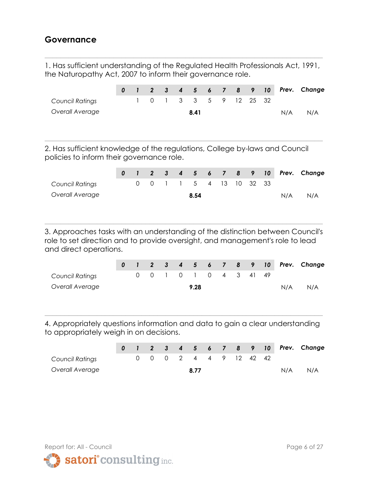## **Governance**

1. Has sufficient understanding of the Regulated Health Professionals Act, 1991, the Naturopathy Act, 2007 to inform their governance role.

**\_\_\_\_\_\_\_\_\_\_\_\_\_\_\_\_\_\_\_\_\_\_\_\_\_\_\_\_\_\_\_\_\_\_\_\_\_\_\_\_\_\_\_\_\_\_\_\_\_\_\_\_\_\_\_\_\_\_\_\_\_\_\_\_\_\_\_\_\_**

|                 |  |  |      |  |                        |  |     | 0 1 2 3 4 5 6 7 8 9 10 Prev. Change |
|-----------------|--|--|------|--|------------------------|--|-----|-------------------------------------|
| Council Ratings |  |  |      |  | 1 0 1 3 3 5 9 12 25 32 |  |     |                                     |
| Overall Average |  |  | 8.41 |  |                        |  | N/A | N/A                                 |
|                 |  |  |      |  |                        |  |     |                                     |

**\_\_\_\_\_\_\_\_\_\_\_\_\_\_\_\_\_\_\_\_\_\_\_\_\_\_\_\_\_\_\_\_\_\_\_\_\_\_\_\_\_\_\_\_\_\_\_\_\_\_\_\_\_\_\_\_\_\_\_\_\_\_\_\_\_\_\_\_\_**

2. Has sufficient knowledge of the regulations, College by-laws and Council policies to inform their governance role.

|                        |  |  |                         |  |  |     | 0 1 2 3 4 5 6 7 8 9 10 Prev. Change |
|------------------------|--|--|-------------------------|--|--|-----|-------------------------------------|
| <b>Council Ratings</b> |  |  | 0 0 1 1 5 4 13 10 32 33 |  |  |     |                                     |
| Overall Average        |  |  | 8.54                    |  |  | N/A | N/A                                 |

3. Approaches tasks with an understanding of the distinction between Council's role to set direction and to provide oversight, and management's role to lead and direct operations.

**\_\_\_\_\_\_\_\_\_\_\_\_\_\_\_\_\_\_\_\_\_\_\_\_\_\_\_\_\_\_\_\_\_\_\_\_\_\_\_\_\_\_\_\_\_\_\_\_\_\_\_\_\_\_\_\_\_\_\_\_\_\_\_\_\_\_\_\_\_**

|                 |  |  |                        |      |  |  |     | 0 1 2 3 4 5 6 7 8 9 10 Prev. Change |
|-----------------|--|--|------------------------|------|--|--|-----|-------------------------------------|
| Council Ratings |  |  | 0 0 1 0 1 0 4 3 4 1 49 |      |  |  |     |                                     |
| Overall Average |  |  |                        | 9.28 |  |  | N/A | N/A                                 |

4. Appropriately questions information and data to gain a clear understanding to appropriately weigh in on decisions.

|                        |  |  |      |  |                        |  |     | 0 1 2 3 4 5 6 7 8 9 10 Prev. Change |
|------------------------|--|--|------|--|------------------------|--|-----|-------------------------------------|
| <b>Council Ratings</b> |  |  |      |  | 0 0 0 2 4 4 9 12 42 42 |  |     |                                     |
| Overall Average        |  |  | 8.77 |  |                        |  | N/A | N/A                                 |

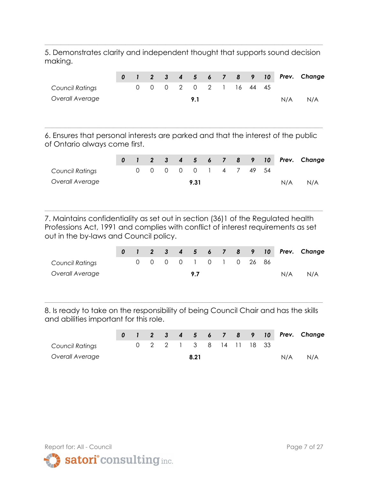5. Demonstrates clarity and independent thought that supports sound decision making.

**\_\_\_\_\_\_\_\_\_\_\_\_\_\_\_\_\_\_\_\_\_\_\_\_\_\_\_\_\_\_\_\_\_\_\_\_\_\_\_\_\_\_\_\_\_\_\_\_\_\_\_\_\_\_\_\_\_\_\_\_\_\_\_\_\_\_\_\_\_**

|                 |  |  |                        |  |  |     | 0 1 2 3 4 5 6 7 8 9 10 Prev. Change |
|-----------------|--|--|------------------------|--|--|-----|-------------------------------------|
| Council Ratings |  |  | 0 0 0 2 0 2 1 16 44 45 |  |  |     |                                     |
| Overall Average |  |  | 9.1                    |  |  | N/A | N/A                                 |

6. Ensures that personal interests are parked and that the interest of the public of Ontario always come first.

**\_\_\_\_\_\_\_\_\_\_\_\_\_\_\_\_\_\_\_\_\_\_\_\_\_\_\_\_\_\_\_\_\_\_\_\_\_\_\_\_\_\_\_\_\_\_\_\_\_\_\_\_\_\_\_\_\_\_\_\_\_\_\_\_\_\_\_\_\_**

|                 |  |  |                       |  |  |     | 0 1 2 3 4 5 6 7 8 9 10 Prev. Change |
|-----------------|--|--|-----------------------|--|--|-----|-------------------------------------|
| Council Ratings |  |  | 0 0 0 0 0 1 4 7 49 54 |  |  |     |                                     |
| Overall Average |  |  | 9.31                  |  |  | N/A | N/A                                 |

7. Maintains confidentiality as set out in section (36)1 of the Regulated health Professions Act, 1991 and complies with conflict of interest requirements as set out in the by-laws and Council policy.

**\_\_\_\_\_\_\_\_\_\_\_\_\_\_\_\_\_\_\_\_\_\_\_\_\_\_\_\_\_\_\_\_\_\_\_\_\_\_\_\_\_\_\_\_\_\_\_\_\_\_\_\_\_\_\_\_\_\_\_\_\_\_\_\_\_\_\_\_\_**

|                 |  |  |  |  |                       |     | 0 1 2 3 4 5 6 7 8 9 10 Prev. Change |
|-----------------|--|--|--|--|-----------------------|-----|-------------------------------------|
| Council Ratings |  |  |  |  | 0 0 0 0 1 0 1 0 26 86 |     |                                     |
| Overall Average |  |  |  |  |                       | N/A | N/A                                 |

8. Is ready to take on the responsibility of being Council Chair and has the skills and abilities important for this role.

|                 |  |  |      |                         |  |     | 0 1 2 3 4 5 6 7 8 9 10 Prev. Change |
|-----------------|--|--|------|-------------------------|--|-----|-------------------------------------|
| Council Ratings |  |  |      | 0 2 2 1 3 8 14 11 18 33 |  |     |                                     |
| Overall Average |  |  | 8.21 |                         |  | N/A | N/A                                 |

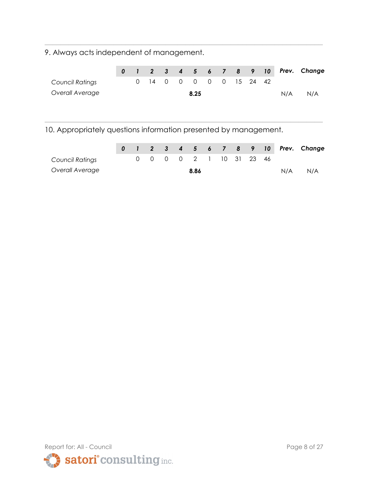9. Always acts independent of management.

|                 |  |                         |  |      |  |  |     | 0 1 2 3 4 5 6 7 8 9 10 Prev. Change |
|-----------------|--|-------------------------|--|------|--|--|-----|-------------------------------------|
| Council Ratings |  | 0 14 0 0 0 0 0 15 24 42 |  |      |  |  |     |                                     |
| Overall Average |  |                         |  | 8.25 |  |  | N/A | N/A                                 |

**\_\_\_\_\_\_\_\_\_\_\_\_\_\_\_\_\_\_\_\_\_\_\_\_\_\_\_\_\_\_\_\_\_\_\_\_\_\_\_\_\_\_\_\_\_\_\_\_\_\_\_\_\_\_\_\_\_\_\_\_\_\_\_\_\_\_\_\_\_**

**\_\_\_\_\_\_\_\_\_\_\_\_\_\_\_\_\_\_\_\_\_\_\_\_\_\_\_\_\_\_\_\_\_\_\_\_\_\_\_\_\_\_\_\_\_\_\_\_\_\_\_\_\_\_\_\_\_\_\_\_\_\_\_\_\_\_\_\_\_**

10. Appropriately questions information presented by management.

|                        |  |  |      |                         |  |     | 0 1 2 3 4 5 6 7 8 9 10 Prev. Change |
|------------------------|--|--|------|-------------------------|--|-----|-------------------------------------|
| <b>Council Ratings</b> |  |  |      | 0 0 0 0 2 1 10 31 23 46 |  |     |                                     |
| Overall Average        |  |  | 8.86 |                         |  | N/A | N/A                                 |

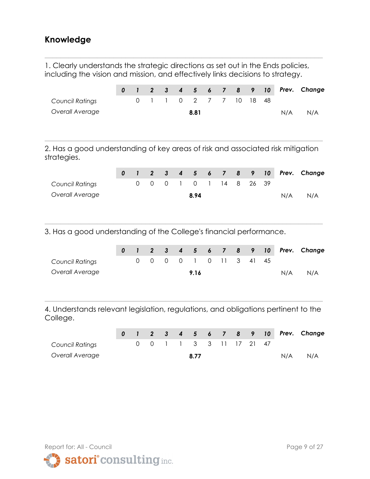## **Knowledge**

1. Clearly understands the strategic directions as set out in the Ends policies, including the vision and mission, and effectively links decisions to strategy.

**\_\_\_\_\_\_\_\_\_\_\_\_\_\_\_\_\_\_\_\_\_\_\_\_\_\_\_\_\_\_\_\_\_\_\_\_\_\_\_\_\_\_\_\_\_\_\_\_\_\_\_\_\_\_\_\_\_\_\_\_\_\_\_\_\_\_\_\_\_**

|                                                                                                | 0 |   | 2 <sup>2</sup> | $\mathbf{3}$ | $\boldsymbol{4}$ | $\overline{\phantom{0}}$ | $\boldsymbol{6}$ | $\overline{\phantom{a}}$ | 8  | 9  | 10 | Prev. | Change |
|------------------------------------------------------------------------------------------------|---|---|----------------|--------------|------------------|--------------------------|------------------|--------------------------|----|----|----|-------|--------|
| Council Ratings                                                                                |   | 0 |                |              | 0                | $\overline{2}$           | 7                | 7                        | 10 | 18 | 48 |       |        |
| Overall Average                                                                                |   |   |                |              |                  | 8.81                     |                  |                          |    |    |    | N/A   | N/A    |
| 2. Has a good understanding of key areas of risk and associated risk mitigation<br>strategies. |   |   |                |              |                  |                          |                  |                          |    |    |    |       |        |
|                                                                                                | 0 |   | 2 <sup>2</sup> | $\mathbf{3}$ | $\boldsymbol{4}$ | 5                        | -6               | $\overline{\phantom{a}}$ | 8  | 9  | 10 | Prev. | Change |
| Council Ratings                                                                                |   | 0 | $\Omega$       | 0            |                  | $\Omega$                 |                  | 14                       | 8  | 26 | 39 |       |        |
| Overall Average                                                                                |   |   |                |              |                  | 8.94                     |                  |                          |    |    |    | N/A   | N/A    |

3. Has a good understanding of the College's financial performance.

|                        |  |  |      |                        |  |     | 0 1 2 3 4 5 6 7 8 9 10 Prev. Change |
|------------------------|--|--|------|------------------------|--|-----|-------------------------------------|
| <b>Council Ratings</b> |  |  |      | 0 0 0 0 1 0 11 3 41 45 |  |     |                                     |
| Overall Average        |  |  | 9.16 |                        |  | N/A | N/A                                 |

**\_\_\_\_\_\_\_\_\_\_\_\_\_\_\_\_\_\_\_\_\_\_\_\_\_\_\_\_\_\_\_\_\_\_\_\_\_\_\_\_\_\_\_\_\_\_\_\_\_\_\_\_\_\_\_\_\_\_\_\_\_\_\_\_\_\_\_\_\_**

4. Understands relevant legislation, regulations, and obligations pertinent to the College.

|                        |  |  |      |                         |  |     | 0 1 2 3 4 5 6 7 8 9 10 Prev. Change |
|------------------------|--|--|------|-------------------------|--|-----|-------------------------------------|
| <b>Council Ratings</b> |  |  |      | 0 0 1 1 3 3 11 17 21 47 |  |     |                                     |
| Overall Average        |  |  | 8.77 |                         |  | N/A | N/A                                 |

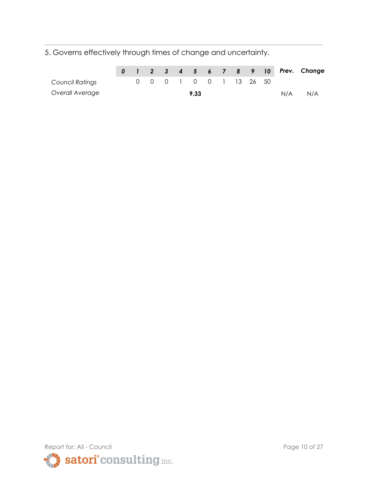5. Governs effectively through times of change and uncertainty.

|                 |  |  |      |  |                        |  |     | 0 1 2 3 4 5 6 7 8 9 10 Prev. Change |
|-----------------|--|--|------|--|------------------------|--|-----|-------------------------------------|
| Council Ratings |  |  |      |  | 0 0 0 1 0 0 1 13 26 50 |  |     |                                     |
| Overall Average |  |  | 9.33 |  |                        |  | N/A | N/A                                 |

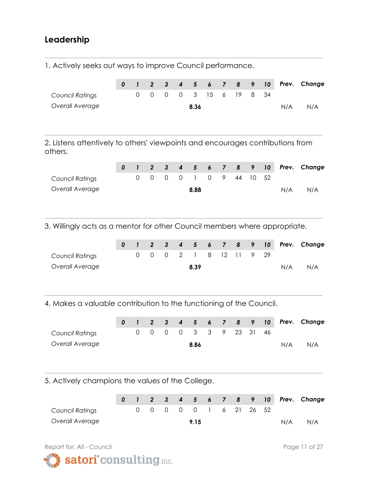## **Leadership**

1. Actively seeks out ways to improve Council performance.

|                 |  |  |      |  |                        |  |     | 0 1 2 3 4 5 6 7 8 9 10 Prev. Change |
|-----------------|--|--|------|--|------------------------|--|-----|-------------------------------------|
| Council Ratings |  |  |      |  | 0 0 0 0 3 15 6 19 8 34 |  |     |                                     |
| Overall Average |  |  | 8.36 |  |                        |  | N/A | N/A                                 |

**\_\_\_\_\_\_\_\_\_\_\_\_\_\_\_\_\_\_\_\_\_\_\_\_\_\_\_\_\_\_\_\_\_\_\_\_\_\_\_\_\_\_\_\_\_\_\_\_\_\_\_\_\_\_\_\_\_\_\_\_\_\_\_\_\_\_\_\_\_**

2. Listens attentively to others' viewpoints and encourages contributions from others.

**\_\_\_\_\_\_\_\_\_\_\_\_\_\_\_\_\_\_\_\_\_\_\_\_\_\_\_\_\_\_\_\_\_\_\_\_\_\_\_\_\_\_\_\_\_\_\_\_\_\_\_\_\_\_\_\_\_\_\_\_\_\_\_\_\_\_\_\_\_**

|                        |  |  |      |  |                        |  |     | 0 1 2 3 4 5 6 7 8 9 10 Prev. Change |
|------------------------|--|--|------|--|------------------------|--|-----|-------------------------------------|
| <b>Council Ratings</b> |  |  |      |  | 0 0 0 0 1 0 9 44 10 52 |  |     |                                     |
| Overall Average        |  |  | 8.88 |  |                        |  | N/A | N/A                                 |

**\_\_\_\_\_\_\_\_\_\_\_\_\_\_\_\_\_\_\_\_\_\_\_\_\_\_\_\_\_\_\_\_\_\_\_\_\_\_\_\_\_\_\_\_\_\_\_\_\_\_\_\_\_\_\_\_\_\_\_\_\_\_\_\_\_\_\_\_\_**

3. Willingly acts as a mentor for other Council members where appropriate.

|                 |  |  |      |                        |  |     | 0 1 2 3 4 5 6 7 8 9 10 Prev. Change |
|-----------------|--|--|------|------------------------|--|-----|-------------------------------------|
| Council Ratings |  |  |      | 0 0 0 2 1 8 12 11 9 29 |  |     |                                     |
| Overall Average |  |  | 8.39 |                        |  | N/A | N/A                                 |

**\_\_\_\_\_\_\_\_\_\_\_\_\_\_\_\_\_\_\_\_\_\_\_\_\_\_\_\_\_\_\_\_\_\_\_\_\_\_\_\_\_\_\_\_\_\_\_\_\_\_\_\_\_\_\_\_\_\_\_\_\_\_\_\_\_\_\_\_\_**

4. Makes a valuable contribution to the functioning of the Council.

|                        |  |  |      |  |                        |  |     | 0 1 2 3 4 5 6 7 8 9 10 Prev. Change |
|------------------------|--|--|------|--|------------------------|--|-----|-------------------------------------|
| <b>Council Ratings</b> |  |  |      |  | 0 0 0 0 3 3 9 23 31 46 |  |     |                                     |
| Overall Average        |  |  | 8.86 |  |                        |  | N/A | N/A                                 |

5. Actively champions the values of the College.

|                        |  |  |      |  |                        |     | 0 1 2 3 4 5 6 7 8 9 10 Prev. Change |
|------------------------|--|--|------|--|------------------------|-----|-------------------------------------|
| <b>Council Ratings</b> |  |  |      |  | 0 0 0 0 0 1 6 21 26 52 |     |                                     |
| Overall Average        |  |  | 9.15 |  |                        | N/A | N/A                                 |

**\_\_\_\_\_\_\_\_\_\_\_\_\_\_\_\_\_\_\_\_\_\_\_\_\_\_\_\_\_\_\_\_\_\_\_\_\_\_\_\_\_\_\_\_\_\_\_\_\_\_\_\_\_\_\_\_\_\_\_\_\_\_\_\_\_\_\_\_\_**

Report for: All - Council **Page 11 of 27** 

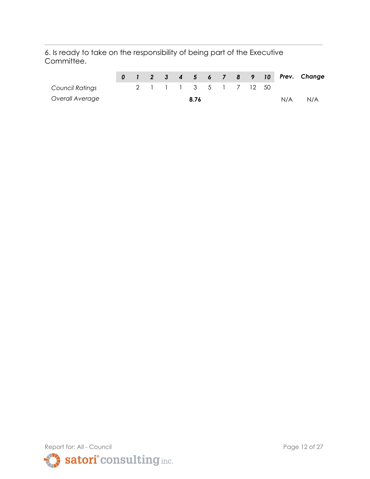6. Is ready to take on the responsibility of being part of the Executive Committee.

|                        |  |  |                       |  |  |     | 0 1 2 3 4 5 6 7 8 9 10 Prev. Change |
|------------------------|--|--|-----------------------|--|--|-----|-------------------------------------|
| <b>Council Ratings</b> |  |  | 2 1 1 1 3 5 1 7 12 50 |  |  |     |                                     |
| Overall Average        |  |  | 8.76                  |  |  | N/A | N/A                                 |

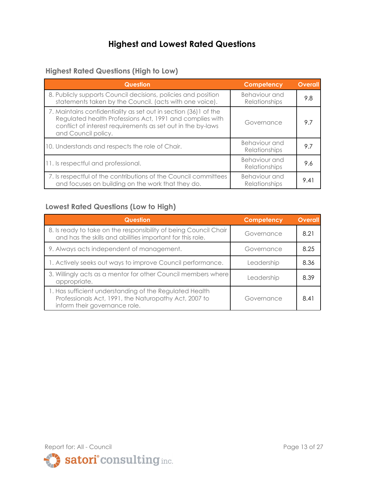# **Highest and Lowest Rated Questions**

#### **Highest Rated Questions (High to Low)**

| <b>Question</b>                                                                                                                                                                                                    | Competency                            | <b>Overall</b> |
|--------------------------------------------------------------------------------------------------------------------------------------------------------------------------------------------------------------------|---------------------------------------|----------------|
| 8. Publicly supports Council decisions, policies and position<br>statements taken by the Council. (acts with one voice).                                                                                           | Behaviour and<br>Relationships        | 9.8            |
| 7. Maintains confidentiality as set out in section (36) 1 of the<br>Regulated health Professions Act, 1991 and complies with<br>conflict of interest requirements as set out in the by-laws<br>and Council policy. | Governance                            | 9.7            |
| 10. Understands and respects the role of Chair.                                                                                                                                                                    | Behaviour and<br>Relationships        | 9.7            |
| 11. Is respectful and professional.                                                                                                                                                                                | <b>Behaviour and</b><br>Relationships | 9.6            |
| 7. Is respectful of the contributions of the Council committees<br>and focuses on building on the work that they do.                                                                                               | Behaviour and<br>Relationships        | 9.41           |

#### **Lowest Rated Questions (Low to High)**

| <b>Question</b>                                                                                                                                   | Competency | <b>Overall</b> |
|---------------------------------------------------------------------------------------------------------------------------------------------------|------------|----------------|
| 8. Is ready to take on the responsibility of being Council Chair<br>and has the skills and abilities important for this role.                     | Governance | 8.21           |
| 9. Always acts independent of management.                                                                                                         | Governance | 8.25           |
| 1. Actively seeks out ways to improve Council performance.                                                                                        | Leadership | 8.36           |
| 3. Willingly acts as a mentor for other Council members where<br>appropriate.                                                                     | Leadership | 8.39           |
| 1. Has sufficient understanding of the Regulated Health<br>Professionals Act, 1991, the Naturopathy Act, 2007 to<br>inform their governance role. | Governance | 8.41           |

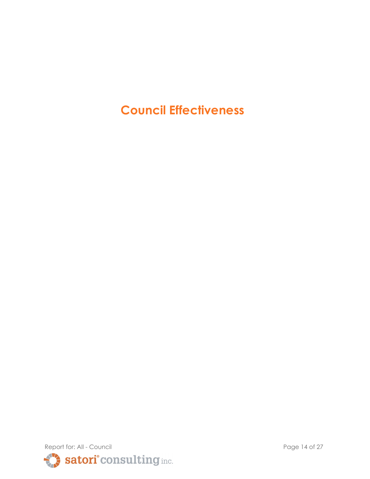**Council Effectiveness**

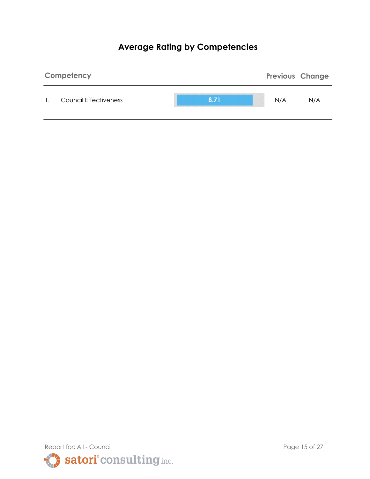# **Average Rating by Competencies**



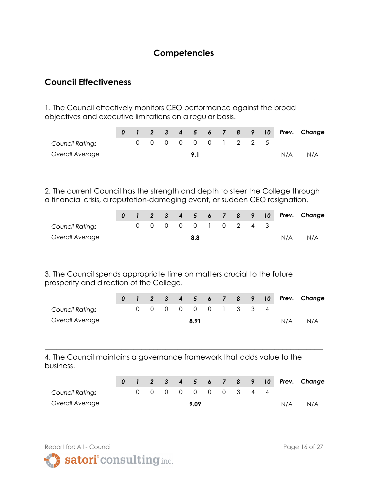## **Competencies**

**\_\_\_\_\_\_\_\_\_\_\_\_\_\_\_\_\_\_\_\_\_\_\_\_\_\_\_\_\_\_\_\_\_\_\_\_\_\_\_\_\_\_\_\_\_\_\_\_\_\_\_\_\_\_\_\_\_\_\_\_\_\_\_\_\_\_\_\_\_**

## **Council Effectiveness**

1. The Council effectively monitors CEO performance against the broad objectives and executive limitations on a regular basis.

|                 |  |  |  |  |                     |  |     | 0 1 2 3 4 5 6 7 8 9 10 Prev. Change |
|-----------------|--|--|--|--|---------------------|--|-----|-------------------------------------|
| Council Ratings |  |  |  |  | 0 0 0 0 0 0 1 2 2 5 |  |     |                                     |
| Overall Average |  |  |  |  |                     |  | N/A | N/A                                 |

2. The current Council has the strength and depth to steer the College through a financial crisis, a reputation-damaging event, or sudden CEO resignation.

**\_\_\_\_\_\_\_\_\_\_\_\_\_\_\_\_\_\_\_\_\_\_\_\_\_\_\_\_\_\_\_\_\_\_\_\_\_\_\_\_\_\_\_\_\_\_\_\_\_\_\_\_\_\_\_\_\_\_\_\_\_\_\_\_\_\_\_\_\_**

|                        |  |  |                     |  |  |     | 0 1 2 3 4 5 6 7 8 9 10 Prev. Change |
|------------------------|--|--|---------------------|--|--|-----|-------------------------------------|
| <b>Council Ratings</b> |  |  | 0 0 0 0 0 1 0 2 4 3 |  |  |     |                                     |
| Overall Average        |  |  | 8.8                 |  |  | N/A | N/A                                 |

**\_\_\_\_\_\_\_\_\_\_\_\_\_\_\_\_\_\_\_\_\_\_\_\_\_\_\_\_\_\_\_\_\_\_\_\_\_\_\_\_\_\_\_\_\_\_\_\_\_\_\_\_\_\_\_\_\_\_\_\_\_\_\_\_\_\_\_\_\_**

3. The Council spends appropriate time on matters crucial to the future prosperity and direction of the College.

|                 |  |  |      |  |                     |  |     | 0 1 2 3 4 5 6 7 8 9 10 Prev. Change |
|-----------------|--|--|------|--|---------------------|--|-----|-------------------------------------|
| Council Ratings |  |  |      |  | 0 0 0 0 0 0 1 3 3 4 |  |     |                                     |
| Overall Average |  |  | 8.91 |  |                     |  | N/A | N/A                                 |

**\_\_\_\_\_\_\_\_\_\_\_\_\_\_\_\_\_\_\_\_\_\_\_\_\_\_\_\_\_\_\_\_\_\_\_\_\_\_\_\_\_\_\_\_\_\_\_\_\_\_\_\_\_\_\_\_\_\_\_\_\_\_\_\_\_\_\_\_\_**

4. The Council maintains a governance framework that adds value to the business.

|                        |  |  |      |  |                     |  |     | 0 1 2 3 4 5 6 7 8 9 10 Prev. Change |
|------------------------|--|--|------|--|---------------------|--|-----|-------------------------------------|
| <b>Council Ratings</b> |  |  |      |  | 0 0 0 0 0 0 0 3 4 4 |  |     |                                     |
| Overall Average        |  |  | 9.09 |  |                     |  | N/A | N/A                                 |

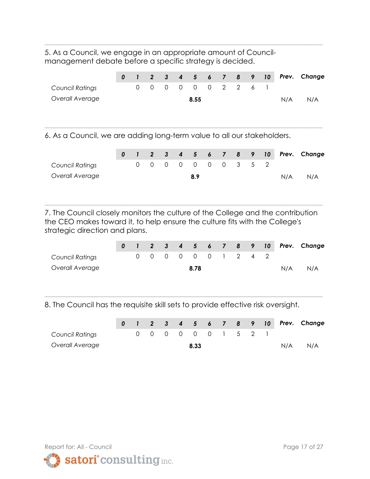5. As a Council, we engage in an appropriate amount of Councilmanagement debate before a specific strategy is decided.

|                          | 0 |          |            |                                                                                                                 |                 |  |  |     | 1 2 3 4 5 6 7 8 9 10 Prev. Change |
|--------------------------|---|----------|------------|-----------------------------------------------------------------------------------------------------------------|-----------------|--|--|-----|-----------------------------------|
| Council Ratings          |   |          | $0\quad 0$ |                                                                                                                 | 0 0 0 0 2 2 6 1 |  |  |     |                                   |
| Overall Average          |   |          |            |                                                                                                                 | 8.55            |  |  | N/A | N/A                               |
| <br>$\sim$ $\sim$ $\sim$ |   | $\cdots$ |            | the contract of the contract of the contract of the contract of the contract of the contract of the contract of |                 |  |  |     |                                   |

**\_\_\_\_\_\_\_\_\_\_\_\_\_\_\_\_\_\_\_\_\_\_\_\_\_\_\_\_\_\_\_\_\_\_\_\_\_\_\_\_\_\_\_\_\_\_\_\_\_\_\_\_\_\_\_\_\_\_\_\_\_\_\_\_\_\_\_\_\_**

6. As a Council, we are adding long-term value to all our stakeholders.

|                        |  |  |     |  |                     |  |     | 0 1 2 3 4 5 6 7 8 9 10 Prev. Change |
|------------------------|--|--|-----|--|---------------------|--|-----|-------------------------------------|
| <b>Council Ratings</b> |  |  |     |  | 0 0 0 0 0 0 0 3 5 2 |  |     |                                     |
| Overall Average        |  |  | 8.9 |  |                     |  | N/A | N/A                                 |

7. The Council closely monitors the culture of the College and the contribution the CEO makes toward it, to help ensure the culture fits with the College's strategic direction and plans.

**\_\_\_\_\_\_\_\_\_\_\_\_\_\_\_\_\_\_\_\_\_\_\_\_\_\_\_\_\_\_\_\_\_\_\_\_\_\_\_\_\_\_\_\_\_\_\_\_\_\_\_\_\_\_\_\_\_\_\_\_\_\_\_\_\_\_\_\_\_**

|                 |  |  |                     |  |  |     | 0 1 2 3 4 5 6 7 8 9 10 Prev. Change |
|-----------------|--|--|---------------------|--|--|-----|-------------------------------------|
| Council Ratings |  |  | 0 0 0 0 0 0 1 2 4 2 |  |  |     |                                     |
| Overall Average |  |  | 8.78                |  |  | N/A | N/A                                 |

**\_\_\_\_\_\_\_\_\_\_\_\_\_\_\_\_\_\_\_\_\_\_\_\_\_\_\_\_\_\_\_\_\_\_\_\_\_\_\_\_\_\_\_\_\_\_\_\_\_\_\_\_\_\_\_\_\_\_\_\_\_\_\_\_\_\_\_\_\_**

8. The Council has the requisite skill sets to provide effective risk oversight.

|                        |  |  |                     |  |  |     | 0 1 2 3 4 5 6 7 8 9 10 Prev. Change |
|------------------------|--|--|---------------------|--|--|-----|-------------------------------------|
| <b>Council Ratings</b> |  |  | 0 0 0 0 0 0 1 5 2 1 |  |  |     |                                     |
| Overall Average        |  |  | 8.33                |  |  | N/A | N/A                                 |

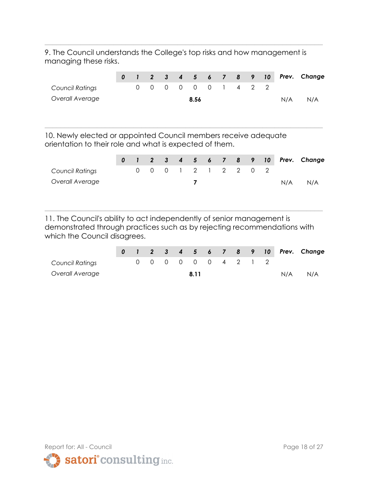9. The Council understands the College's top risks and how management is managing these risks.

**\_\_\_\_\_\_\_\_\_\_\_\_\_\_\_\_\_\_\_\_\_\_\_\_\_\_\_\_\_\_\_\_\_\_\_\_\_\_\_\_\_\_\_\_\_\_\_\_\_\_\_\_\_\_\_\_\_\_\_\_\_\_\_\_\_\_\_\_\_**

|                 |  |  |                     |  |  |     | 0 1 2 3 4 5 6 7 8 9 10 Prev. Change |
|-----------------|--|--|---------------------|--|--|-----|-------------------------------------|
| Council Ratings |  |  | 0 0 0 0 0 0 1 4 2 2 |  |  |     |                                     |
| Overall Average |  |  | 8.56                |  |  | N/A | N/A                                 |
|                 |  |  |                     |  |  |     |                                     |
|                 |  |  |                     |  |  |     |                                     |

10. Newly elected or appointed Council members receive adequate orientation to their role and what is expected of them.

|                 |  |  |                     |  |  |     | 0 1 2 3 4 5 6 7 8 9 10 Prev. Change |
|-----------------|--|--|---------------------|--|--|-----|-------------------------------------|
| Council Ratings |  |  | 0 0 0 1 2 1 2 2 0 2 |  |  |     |                                     |
| Overall Average |  |  |                     |  |  | N/A | N/A                                 |
|                 |  |  |                     |  |  |     |                                     |

11. The Council's ability to act independently of senior management is demonstrated through practices such as by rejecting recommendations with which the Council disagrees.

|                 |  |  |      |  |                     |  |     | 0 1 2 3 4 5 6 7 8 9 10 Prev. Change |
|-----------------|--|--|------|--|---------------------|--|-----|-------------------------------------|
| Council Ratings |  |  |      |  | 0 0 0 0 0 0 4 2 1 2 |  |     |                                     |
| Overall Average |  |  | 8.11 |  |                     |  | N/A | N/A                                 |

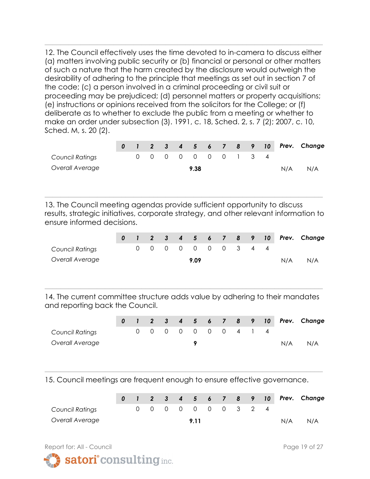12. The Council effectively uses the time devoted to in-camera to discuss either (a) matters involving public security or (b) financial or personal or other matters of such a nature that the harm created by the disclosure would outweigh the desirability of adhering to the principle that meetings as set out in section 7 of the code; (c) a person involved in a criminal proceeding or civil suit or proceeding may be prejudiced; (d) personnel matters or property acquisitions; (e) instructions or opinions received from the solicitors for the College; or (f) deliberate as to whether to exclude the public from a meeting or whether to make an order under subsection (3). 1991, c. 18, Sched. 2, s. 7 (2); 2007, c. 10, Sched. M, s. 20 (2).

**\_\_\_\_\_\_\_\_\_\_\_\_\_\_\_\_\_\_\_\_\_\_\_\_\_\_\_\_\_\_\_\_\_\_\_\_\_\_\_\_\_\_\_\_\_\_\_\_\_\_\_\_\_\_\_\_\_\_\_\_\_\_\_\_\_\_\_\_\_**

|                 |  |  |                     |  |  |     | 0 1 2 3 4 5 6 7 8 9 10 Prev. Change |
|-----------------|--|--|---------------------|--|--|-----|-------------------------------------|
| Council Ratings |  |  | 0 0 0 0 0 0 0 1 3 4 |  |  |     |                                     |
| Overall Average |  |  | 9.38                |  |  | N/A | N/A                                 |

13. The Council meeting agendas provide sufficient opportunity to discuss results, strategic initiatives, corporate strategy, and other relevant information to ensure informed decisions.

**\_\_\_\_\_\_\_\_\_\_\_\_\_\_\_\_\_\_\_\_\_\_\_\_\_\_\_\_\_\_\_\_\_\_\_\_\_\_\_\_\_\_\_\_\_\_\_\_\_\_\_\_\_\_\_\_\_\_\_\_\_\_\_\_\_\_\_\_\_**

|                 |  |  |      |  |                     |  |     | 0 1 2 3 4 5 6 7 8 9 10 Prev. Change |
|-----------------|--|--|------|--|---------------------|--|-----|-------------------------------------|
| Council Ratings |  |  |      |  | 0 0 0 0 0 0 0 3 4 4 |  |     |                                     |
| Overall Average |  |  | 9.09 |  |                     |  | N/A | N/A                                 |

14. The current committee structure adds value by adhering to their mandates and reporting back the Council.

**\_\_\_\_\_\_\_\_\_\_\_\_\_\_\_\_\_\_\_\_\_\_\_\_\_\_\_\_\_\_\_\_\_\_\_\_\_\_\_\_\_\_\_\_\_\_\_\_\_\_\_\_\_\_\_\_\_\_\_\_\_\_\_\_\_\_\_\_\_**

|                 |  |  |  |                     |  |  |     | 0 1 2 3 4 5 6 7 8 9 10 Prev. Change |
|-----------------|--|--|--|---------------------|--|--|-----|-------------------------------------|
| Council Ratings |  |  |  | 0 0 0 0 0 0 0 4 1 4 |  |  |     |                                     |
| Overall Average |  |  |  |                     |  |  | N/A | N/A                                 |

15. Council meetings are frequent enough to ensure effective governance.

**\_\_\_\_\_\_\_\_\_\_\_\_\_\_\_\_\_\_\_\_\_\_\_\_\_\_\_\_\_\_\_\_\_\_\_\_\_\_\_\_\_\_\_\_\_\_\_\_\_\_\_\_\_\_\_\_\_\_\_\_\_\_\_\_\_\_\_\_\_**

|                        |  |  |      |                     |  |  |     | 0 1 2 3 4 5 6 7 8 9 10 Prev. Change |
|------------------------|--|--|------|---------------------|--|--|-----|-------------------------------------|
| <b>Council Ratings</b> |  |  |      | 0 0 0 0 0 0 0 3 2 4 |  |  |     |                                     |
| Overall Average        |  |  | 9.11 |                     |  |  | N/A | N/A                                 |

Report for: All - Council **Page 19 of 27** 

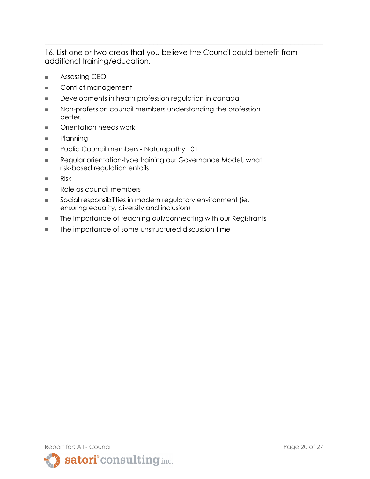16. List one or two areas that you believe the Council could benefit from additional training/education.

- **■** Assessing CEO
- **■** Conflict management
- **■** Developments in heath profession regulation in canada
- Non-profession council members understanding the profession better.
- Orientation needs work
- **■** Planning
- Public Council members Naturopathy 101
- Regular orientation-type training our Governance Model, what risk-based regulation entails
- **■** Risk
- Role as council members
- Social responsibilities in modern requlatory environment (ie. ensuring equality, diversity and inclusion)
- **■** The importance of reaching out/connecting with our Registrants
- **■** The importance of some unstructured discussion time

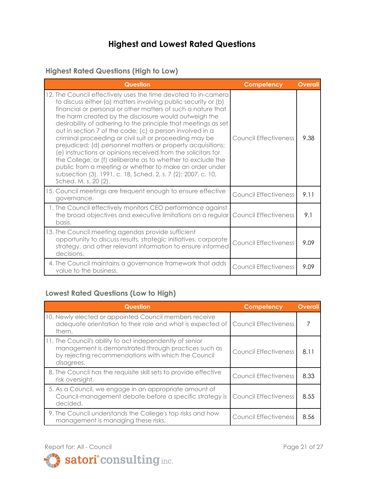# **Highest and Lowest Rated Questions**

#### **Highest Rated Questions (High to Low)**

| <b>Question</b>                                                                                                                                                                                                                                                                                                                                                                                                                                                                                                                                                                                                                                                                                                                                                                                      | Competency                   | <b>Overall</b> |
|------------------------------------------------------------------------------------------------------------------------------------------------------------------------------------------------------------------------------------------------------------------------------------------------------------------------------------------------------------------------------------------------------------------------------------------------------------------------------------------------------------------------------------------------------------------------------------------------------------------------------------------------------------------------------------------------------------------------------------------------------------------------------------------------------|------------------------------|----------------|
| 12. The Council effectively uses the time devoted to in-camera<br>to discuss either (a) matters involving public security or (b)<br>financial or personal or other matters of such a nature that<br>the harm created by the disclosure would outweigh the<br>desirability of adhering to the principle that meetings as set<br>out in section 7 of the code; (c) a person involved in a<br>criminal proceeding or civil suit or proceeding may be<br>prejudiced; (d) personnel matters or property acquisitions;<br>(e) instructions or opinions received from the solicitors for<br>the College; or (f) deliberate as to whether to exclude the<br>public from a meeting or whether to make an order under<br>subsection (3). 1991, c. 18, Sched. 2, s. 7 (2); 2007, c. 10,<br>Sched. M, s. 20 (2). | Council Effectiveness        | 9.38           |
| 15. Council meetings are frequent enough to ensure effective<br>governance.                                                                                                                                                                                                                                                                                                                                                                                                                                                                                                                                                                                                                                                                                                                          | <b>Council Effectiveness</b> | 9.11           |
| 1. The Council effectively monitors CEO performance against<br>the broad objectives and executive limitations on a regular<br>basis.                                                                                                                                                                                                                                                                                                                                                                                                                                                                                                                                                                                                                                                                 | <b>Council Effectiveness</b> | 9.1            |
| 13. The Council meeting agendas provide sufficient<br>opportunity to discuss results, strategic initiatives, corporate<br>strategy, and other relevant information to ensure informed<br>decisions.                                                                                                                                                                                                                                                                                                                                                                                                                                                                                                                                                                                                  | <b>Council Effectiveness</b> | 9.09           |
| 4. The Council maintains a governance framework that adds<br>value to the business.                                                                                                                                                                                                                                                                                                                                                                                                                                                                                                                                                                                                                                                                                                                  | Council Effectiveness        | 9.09           |

#### **Lowest Rated Questions (Low to High)**

| Question                                                                                                                                                                              | Competency                   | <b>Overall</b> |
|---------------------------------------------------------------------------------------------------------------------------------------------------------------------------------------|------------------------------|----------------|
| 10. Newly elected or appointed Council members receive<br>adequate orientation to their role and what is expected of<br>them.                                                         | <b>Council Effectiveness</b> |                |
| 11. The Council's ability to act independently of senior<br>management is demonstrated through practices such as<br>by rejecting recommendations with which the Council<br>disagrees. | <b>Council Effectiveness</b> | 8.11           |
| 8. The Council has the requisite skill sets to provide effective<br>risk oversight.                                                                                                   | <b>Council Effectiveness</b> | 8.33           |
| 5. As a Council, we engage in an appropriate amount of<br>Council-management debate before a specific strategy is<br>decided.                                                         | <b>Council Effectiveness</b> | 8.55           |
| 9. The Council understands the College's top risks and how<br>management is managing these risks.                                                                                     | <b>Council Effectiveness</b> | 8.56           |



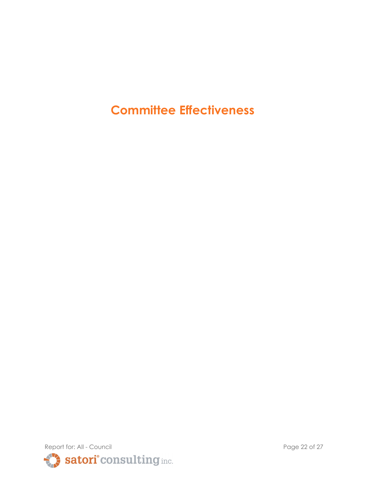# **Committee Effectiveness**

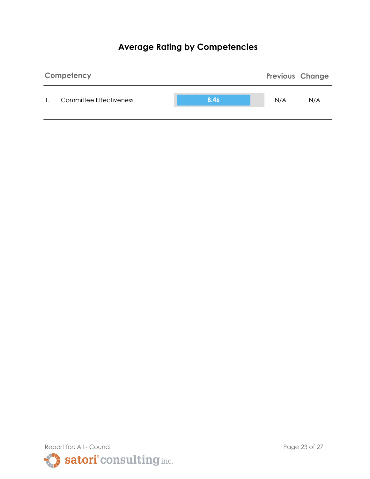# **Average Rating by Competencies**



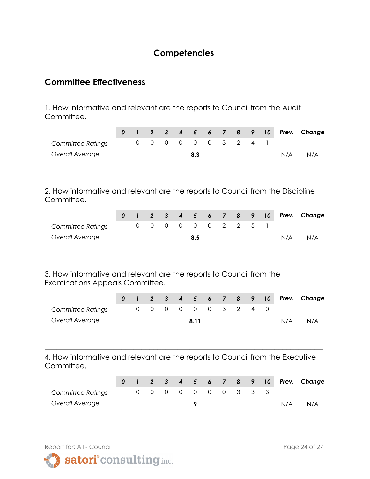## **Competencies**

**\_\_\_\_\_\_\_\_\_\_\_\_\_\_\_\_\_\_\_\_\_\_\_\_\_\_\_\_\_\_\_\_\_\_\_\_\_\_\_\_\_\_\_\_\_\_\_\_\_\_\_\_\_\_\_\_\_\_\_\_\_\_\_\_\_\_\_\_\_**

### **Committee Effectiveness**

1. How informative and relevant are the reports to Council from the Audit Committee.

|                          |  |  |                     |  |  |     | 0 1 2 3 4 5 6 7 8 9 10 Prev. Change |
|--------------------------|--|--|---------------------|--|--|-----|-------------------------------------|
| <b>Committee Ratings</b> |  |  | 0 0 0 0 0 0 3 2 4 1 |  |  |     |                                     |
| Overall Average          |  |  | 8.3                 |  |  | N/A | N/A                                 |

2. How informative and relevant are the reports to Council from the Discipline Committee.

**\_\_\_\_\_\_\_\_\_\_\_\_\_\_\_\_\_\_\_\_\_\_\_\_\_\_\_\_\_\_\_\_\_\_\_\_\_\_\_\_\_\_\_\_\_\_\_\_\_\_\_\_\_\_\_\_\_\_\_\_\_\_\_\_\_\_\_\_\_**

|                   |  |  |     |  |                     |  |     | 0 1 2 3 4 5 6 7 8 9 10 Prev. Change |
|-------------------|--|--|-----|--|---------------------|--|-----|-------------------------------------|
| Committee Ratings |  |  |     |  | 0 0 0 0 0 0 2 2 5 1 |  |     |                                     |
| Overall Average   |  |  | 8.5 |  |                     |  | N/A | N/A                                 |

**\_\_\_\_\_\_\_\_\_\_\_\_\_\_\_\_\_\_\_\_\_\_\_\_\_\_\_\_\_\_\_\_\_\_\_\_\_\_\_\_\_\_\_\_\_\_\_\_\_\_\_\_\_\_\_\_\_\_\_\_\_\_\_\_\_\_\_\_\_**

3. How informative and relevant are the reports to Council from the Examinations Appeals Committee.

|                          |  |  |      |  |                     |  |     | 0 1 2 3 4 5 6 7 8 9 10 Prev. Change |
|--------------------------|--|--|------|--|---------------------|--|-----|-------------------------------------|
| <b>Committee Ratings</b> |  |  |      |  | 0 0 0 0 0 0 3 2 4 0 |  |     |                                     |
| Overall Average          |  |  | 8.11 |  |                     |  | N/A | N/A                                 |

4. How informative and relevant are the reports to Council from the Executive Committee.

|                   |  |  |  |                     |  |  |     | 0 1 2 3 4 5 6 7 8 9 10 Prev. Change |
|-------------------|--|--|--|---------------------|--|--|-----|-------------------------------------|
| Committee Ratings |  |  |  | 0 0 0 0 0 0 0 3 3 3 |  |  |     |                                     |
| Overall Average   |  |  |  |                     |  |  | N/A | N/A                                 |

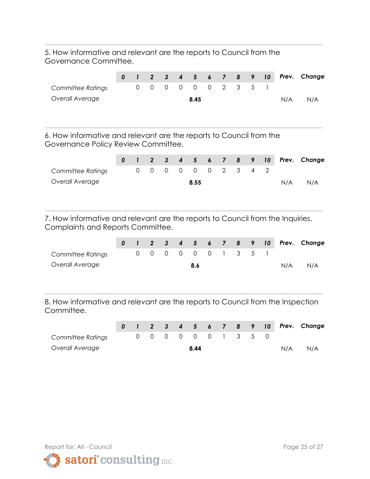5. How informative and relevant are the reports to Council from the Governance Committee.

|                   |  |  |                     |  |  |     | 0 1 2 3 4 5 6 7 8 9 10 Prev. Change |
|-------------------|--|--|---------------------|--|--|-----|-------------------------------------|
| Committee Ratings |  |  | 0 0 0 0 0 0 2 3 5 1 |  |  |     |                                     |
| Overall Average   |  |  | 8.45                |  |  | N/A | N/A                                 |
|                   |  |  |                     |  |  |     |                                     |

**\_\_\_\_\_\_\_\_\_\_\_\_\_\_\_\_\_\_\_\_\_\_\_\_\_\_\_\_\_\_\_\_\_\_\_\_\_\_\_\_\_\_\_\_\_\_\_\_\_\_\_\_\_\_\_\_\_\_\_\_\_\_\_\_\_\_\_\_\_**

**\_\_\_\_\_\_\_\_\_\_\_\_\_\_\_\_\_\_\_\_\_\_\_\_\_\_\_\_\_\_\_\_\_\_\_\_\_\_\_\_\_\_\_\_\_\_\_\_\_\_\_\_\_\_\_\_\_\_\_\_\_\_\_\_\_\_\_\_\_**

6. How informative and relevant are the reports to Council from the Governance Policy Review Committee.

|                          |  |  |                     |  |  |     | 0 1 2 3 4 5 6 7 8 9 10 Prev. Change |
|--------------------------|--|--|---------------------|--|--|-----|-------------------------------------|
| <b>Committee Ratings</b> |  |  | 0 0 0 0 0 0 2 3 4 2 |  |  |     |                                     |
| Overall Average          |  |  | 8.55                |  |  | N/A | N/A                                 |
|                          |  |  |                     |  |  |     |                                     |
|                          |  |  |                     |  |  |     |                                     |

7. How informative and relevant are the reports to Council from the Inquiries, Complaints and Reports Committee.

**\_\_\_\_\_\_\_\_\_\_\_\_\_\_\_\_\_\_\_\_\_\_\_\_\_\_\_\_\_\_\_\_\_\_\_\_\_\_\_\_\_\_\_\_\_\_\_\_\_\_\_\_\_\_\_\_\_\_\_\_\_\_\_\_\_\_\_\_\_**

|                   |  |  |     |                     |  |  |     | 0 1 2 3 4 5 6 7 8 9 10 Prev. Change |
|-------------------|--|--|-----|---------------------|--|--|-----|-------------------------------------|
| Committee Ratings |  |  |     | 0 0 0 0 0 0 1 3 5 1 |  |  |     |                                     |
| Overall Average   |  |  | 8.6 |                     |  |  | N/A | N/A                                 |

8. How informative and relevant are the reports to Council from the Inspection Committee.

|                   |  |  |      |  |                     |  |     | 0 1 2 3 4 5 6 7 8 9 10 Prev. Change |
|-------------------|--|--|------|--|---------------------|--|-----|-------------------------------------|
| Committee Ratings |  |  |      |  | 0 0 0 0 0 0 1 3 5 0 |  |     |                                     |
| Overall Average   |  |  | 8.44 |  |                     |  | N/A | N/A                                 |

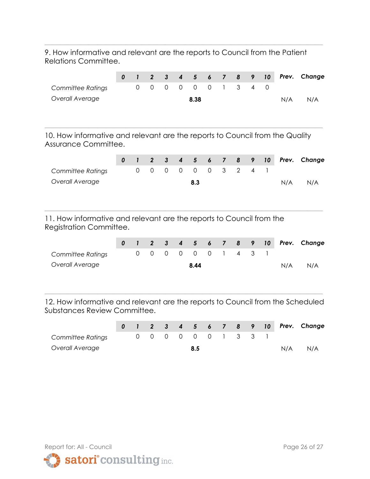9. How informative and relevant are the reports to Council from the Patient Relations Committee.

**\_\_\_\_\_\_\_\_\_\_\_\_\_\_\_\_\_\_\_\_\_\_\_\_\_\_\_\_\_\_\_\_\_\_\_\_\_\_\_\_\_\_\_\_\_\_\_\_\_\_\_\_\_\_\_\_\_\_\_\_\_\_\_\_\_\_\_\_\_**

|                          |  |  |                     |  |  |     | 0 1 2 3 4 5 6 7 8 9 10 Prev. Change |
|--------------------------|--|--|---------------------|--|--|-----|-------------------------------------|
| <b>Committee Ratings</b> |  |  | 0 0 0 0 0 0 1 3 4 0 |  |  |     |                                     |
| Overall Average          |  |  | 8.38                |  |  | N/A | N/A                                 |
|                          |  |  |                     |  |  |     |                                     |
|                          |  |  |                     |  |  |     |                                     |

**\_\_\_\_\_\_\_\_\_\_\_\_\_\_\_\_\_\_\_\_\_\_\_\_\_\_\_\_\_\_\_\_\_\_\_\_\_\_\_\_\_\_\_\_\_\_\_\_\_\_\_\_\_\_\_\_\_\_\_\_\_\_\_\_\_\_\_\_\_**

10. How informative and relevant are the reports to Council from the Quality Assurance Committee.

|                                                                                                 | 0 | $\mathbf{I}$ | $\overline{2}$ | $\mathbf{3}$ | $\boldsymbol{4}$ | $\sqrt{5}$      | $\boldsymbol{6}$ | $\overline{7}$           | 8              | 9 | 10 | Prev. | Change |
|-------------------------------------------------------------------------------------------------|---|--------------|----------------|--------------|------------------|-----------------|------------------|--------------------------|----------------|---|----|-------|--------|
| Committee Ratings                                                                               |   | 0            | 0              | $\mathbf 0$  | $\Omega$         | $\Omega$        | $\Omega$         | 3                        | 2              | 4 |    |       |        |
| Overall Average                                                                                 |   |              |                |              |                  | 8.3             |                  |                          |                |   |    | N/A   | N/A    |
| 11. How informative and relevant are the reports to Council from the<br>Registration Committee. |   |              |                |              |                  |                 |                  |                          |                |   |    |       |        |
|                                                                                                 | 0 | $\mathbf{I}$ | $\overline{2}$ | $\mathbf{3}$ | $\boldsymbol{4}$ | $5\overline{)}$ | $\boldsymbol{6}$ | $\overline{\phantom{a}}$ | 8              | 9 | 10 | Prev. | Change |
| Committee Ratings                                                                               |   | 0            | 0              | $\Omega$     | $\Omega$         | $\Omega$        | $\Omega$         |                          | $\overline{4}$ | 3 |    |       |        |
| Overall Average                                                                                 |   |              |                |              |                  | 8.44            |                  |                          |                |   |    | N/A   | N/A    |

12. How informative and relevant are the reports to Council from the Scheduled Substances Review Committee.

|                   |  |  |     |  |                     |  |     | 0 1 2 3 4 5 6 7 8 9 10 Prev. Change |
|-------------------|--|--|-----|--|---------------------|--|-----|-------------------------------------|
| Committee Ratings |  |  |     |  | 0 0 0 0 0 0 1 3 3 1 |  |     |                                     |
| Overall Average   |  |  | 8.5 |  |                     |  | N/A | N/A                                 |